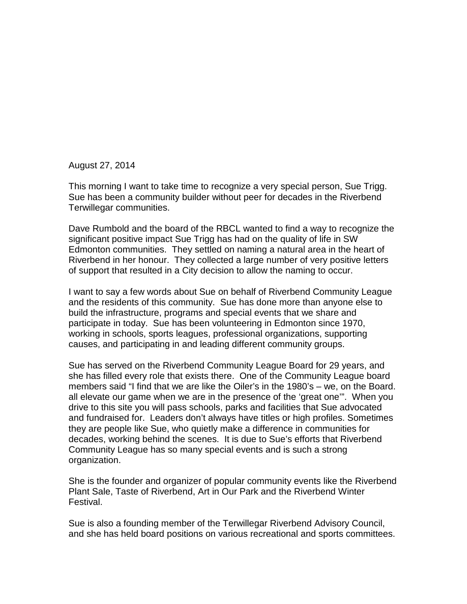August 27, 2014

This morning I want to take time to recognize a very special person, Sue Trigg. Sue has been a community builder without peer for decades in the Riverbend Terwillegar communities.

Dave Rumbold and the board of the RBCL wanted to find a way to recognize the significant positive impact Sue Trigg has had on the quality of life in SW Edmonton communities. They settled on naming a natural area in the heart of Riverbend in her honour. They collected a large number of very positive letters of support that resulted in a City decision to allow the naming to occur.

I want to say a few words about Sue on behalf of Riverbend Community League and the residents of this community. Sue has done more than anyone else to build the infrastructure, programs and special events that we share and participate in today. Sue has been volunteering in Edmonton since 1970, working in schools, sports leagues, professional organizations, supporting causes, and participating in and leading different community groups.

Sue has served on the Riverbend Community League Board for 29 years, and she has filled every role that exists there. One of the Community League board members said "I find that we are like the Oiler's in the 1980's – we, on the Board. all elevate our game when we are in the presence of the 'great one'". When you drive to this site you will pass schools, parks and facilities that Sue advocated and fundraised for. Leaders don't always have titles or high profiles. Sometimes they are people like Sue, who quietly make a difference in communities for decades, working behind the scenes. It is due to Sue's efforts that Riverbend Community League has so many special events and is such a strong organization.

She is the founder and organizer of popular community events like the Riverbend Plant Sale, Taste of Riverbend, Art in Our Park and the Riverbend Winter Festival.

Sue is also a founding member of the Terwillegar Riverbend Advisory Council, and she has held board positions on various recreational and sports committees.